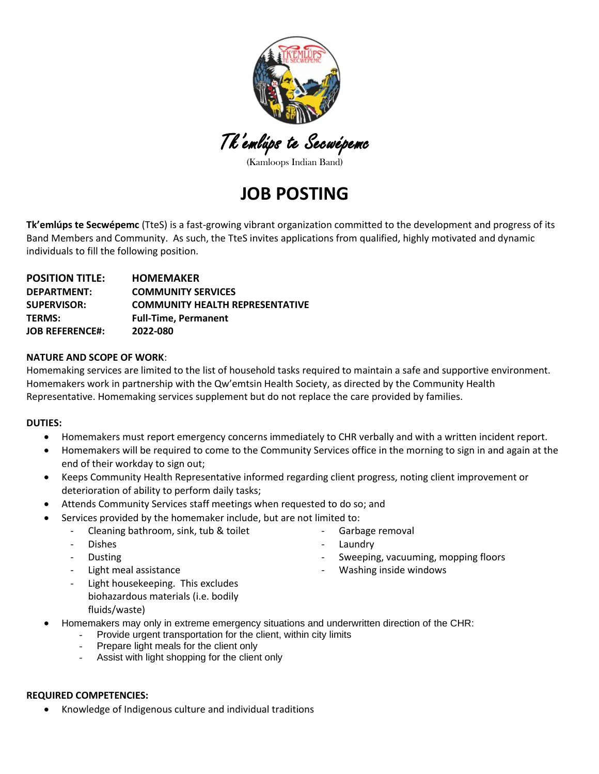

Tk'emlúps te Secwépemc

(Kamloops Indian Band)

## **JOB POSTING**

**Tk'emlúps te Secwépemc** (TteS) is a fast-growing vibrant organization committed to the development and progress of its Band Members and Community. As such, the TteS invites applications from qualified, highly motivated and dynamic individuals to fill the following position.

| <b>POSITION TITLE:</b> | <b>HOMEMAKER</b>                       |
|------------------------|----------------------------------------|
| DEPARTMENT:            | <b>COMMUNITY SERVICES</b>              |
| <b>SUPERVISOR:</b>     | <b>COMMUNITY HEALTH REPRESENTATIVE</b> |
| <b>TERMS:</b>          | <b>Full-Time, Permanent</b>            |
| <b>JOB REFERENCE#:</b> | 2022-080                               |

#### **NATURE AND SCOPE OF WORK**:

Homemaking services are limited to the list of household tasks required to maintain a safe and supportive environment. Homemakers work in partnership with the Qw'emtsin Health Society, as directed by the Community Health Representative. Homemaking services supplement but do not replace the care provided by families.

#### **DUTIES:**

- Homemakers must report emergency concerns immediately to CHR verbally and with a written incident report.
- Homemakers will be required to come to the Community Services office in the morning to sign in and again at the end of their workday to sign out;
- Keeps Community Health Representative informed regarding client progress, noting client improvement or deterioration of ability to perform daily tasks;
- Attends Community Services staff meetings when requested to do so; and
- Services provided by the homemaker include, but are not limited to:
	- Cleaning bathroom, sink, tub & toilet
	- Dishes
	- **Dusting**
	- Light meal assistance
- Garbage removal
- **Laundry**
- Sweeping, vacuuming, mopping floors
- Washing inside windows

- Light housekeeping. This excludes biohazardous materials (i.e. bodily fluids/waste)
- Homemakers may only in extreme emergency situations and underwritten direction of the CHR:
	- Provide urgent transportation for the client, within city limits
	- Prepare light meals for the client only
	- Assist with light shopping for the client only

#### **REQUIRED COMPETENCIES:**

• Knowledge of Indigenous culture and individual traditions